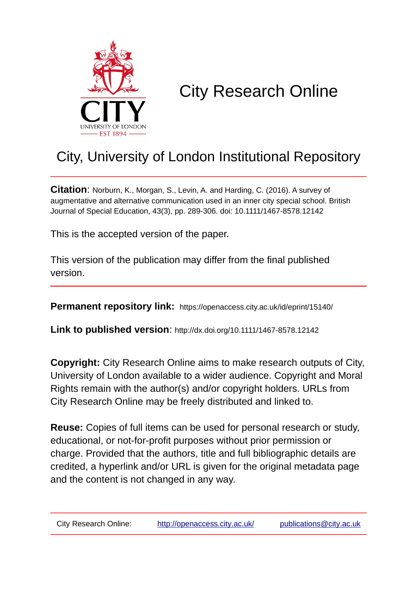

# City Research Online

## City, University of London Institutional Repository

**Citation**: Norburn, K., Morgan, S., Levin, A. and Harding, C. (2016). A survey of augmentative and alternative communication used in an inner city special school. British Journal of Special Education, 43(3), pp. 289-306. doi: 10.1111/1467-8578.12142

This is the accepted version of the paper.

This version of the publication may differ from the final published version.

**Permanent repository link:** https://openaccess.city.ac.uk/id/eprint/15140/

**Link to published version**: http://dx.doi.org/10.1111/1467-8578.12142

**Copyright:** City Research Online aims to make research outputs of City, University of London available to a wider audience. Copyright and Moral Rights remain with the author(s) and/or copyright holders. URLs from City Research Online may be freely distributed and linked to.

**Reuse:** Copies of full items can be used for personal research or study, educational, or not-for-profit purposes without prior permission or charge. Provided that the authors, title and full bibliographic details are credited, a hyperlink and/or URL is given for the original metadata page and the content is not changed in any way.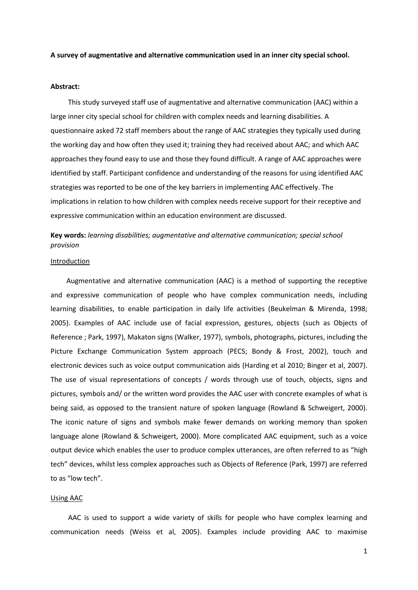#### **A survey of augmentative and alternative communication used in an inner city special school.**

#### **Abstract:**

 This study surveyed staff use of augmentative and alternative communication (AAC) within a large inner city special school for children with complex needs and learning disabilities. A questionnaire asked 72 staff members about the range of AAC strategies they typically used during the working day and how often they used it; training they had received about AAC; and which AAC approaches they found easy to use and those they found difficult. A range of AAC approaches were identified by staff. Participant confidence and understanding of the reasons for using identified AAC strategies was reported to be one of the key barriers in implementing AAC effectively. The implications in relation to how children with complex needs receive support for their receptive and expressive communication within an education environment are discussed.

## **Key words:** *learning disabilities; augmentative and alternative communication; special school provision*

#### Introduction

 Augmentative and alternative communication (AAC) is a method of supporting the receptive and expressive communication of people who have complex communication needs, including learning disabilities, to enable participation in daily life activities (Beukelman & Mirenda, 1998; 2005). Examples of AAC include use of facial expression, gestures, objects (such as Objects of Reference ; Park, 1997), Makaton signs (Walker, 1977), symbols, photographs, pictures, including the Picture Exchange Communication System approach (PECS; Bondy & Frost, 2002), touch and electronic devices such as voice output communication aids (Harding et al 2010; Binger et al, 2007). The use of visual representations of concepts / words through use of touch, objects, signs and pictures, symbols and/ or the written word provides the AAC user with concrete examples of what is being said, as opposed to the transient nature of spoken language (Rowland & Schweigert, 2000). The iconic nature of signs and symbols make fewer demands on working memory than spoken language alone (Rowland & Schweigert, 2000). More complicated AAC equipment, such as a voice output device which enables the user to produce complex utterances, are often referred to as "high tech" devices, whilst less complex approaches such as Objects of Reference (Park, 1997) are referred to as "low tech".

#### Using AAC

 AAC is used to support a wide variety of skills for people who have complex learning and communication needs (Weiss et al, 2005). Examples include providing AAC to maximise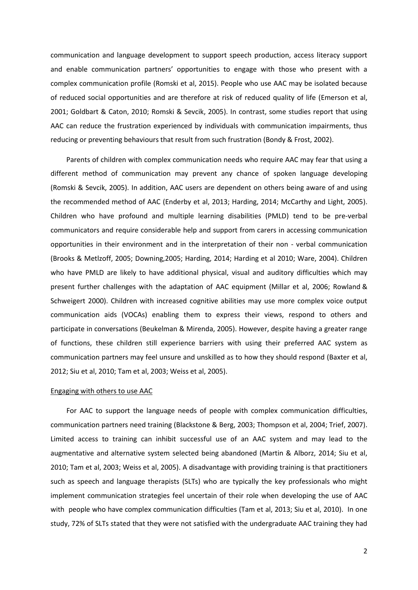communication and language development to support speech production, access literacy support and enable communication partners' opportunities to engage with those who present with a complex communication profile (Romski et al, 2015). People who use AAC may be isolated because of reduced social opportunities and are therefore at risk of reduced quality of life (Emerson et al, 2001; Goldbart & Caton, 2010; Romski & Sevcik, 2005). In contrast, some studies report that using AAC can reduce the frustration experienced by individuals with communication impairments, thus reducing or preventing behaviours that result from such frustration (Bondy & Frost, 2002).

 Parents of children with complex communication needs who require AAC may fear that using a different method of communication may prevent any chance of spoken language developing (Romski & Sevcik, 2005). In addition, AAC users are dependent on others being aware of and using the recommended method of AAC (Enderby et al, 2013; Harding, 2014; McCarthy and Light, 2005). Children who have profound and multiple learning disabilities (PMLD) tend to be pre-verbal communicators and require considerable help and support from carers in accessing communication opportunities in their environment and in the interpretation of their non - verbal communication (Brooks & Metlzoff, 2005; Downing,2005; Harding, 2014; Harding et al 2010; Ware, 2004). Children who have PMLD are likely to have additional physical, visual and auditory difficulties which may present further challenges with the adaptation of AAC equipment (Millar et al, 2006; Rowland & Schweigert 2000). Children with increased cognitive abilities may use more complex voice output communication aids (VOCAs) enabling them to express their views, respond to others and participate in conversations (Beukelman & Mirenda, 2005). However, despite having a greater range of functions, these children still experience barriers with using their preferred AAC system as communication partners may feel unsure and unskilled as to how they should respond (Baxter et al, 2012; Siu et al, 2010; Tam et al, 2003; Weiss et al, 2005).

#### Engaging with others to use AAC

 For AAC to support the language needs of people with complex communication difficulties, communication partners need training (Blackstone & Berg, 2003; Thompson et al, 2004; Trief, 2007). Limited access to training can inhibit successful use of an AAC system and may lead to the augmentative and alternative system selected being abandoned (Martin & Alborz, 2014; Siu et al, 2010; Tam et al, 2003; Weiss et al, 2005). A disadvantage with providing training is that practitioners such as speech and language therapists (SLTs) who are typically the key professionals who might implement communication strategies feel uncertain of their role when developing the use of AAC with people who have complex communication difficulties (Tam et al, 2013; Siu et al, 2010). In one study, 72% of SLTs stated that they were not satisfied with the undergraduate AAC training they had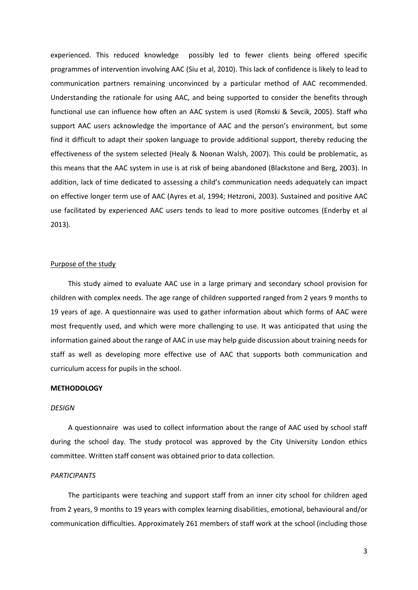experienced. This reduced knowledge possibly led to fewer clients being offered specific programmes of intervention involving AAC (Siu et al, 2010). This lack of confidence is likely to lead to communication partners remaining unconvinced by a particular method of AAC recommended. Understanding the rationale for using AAC, and being supported to consider the benefits through functional use can influence how often an AAC system is used (Romski & Sevcik, 2005). Staff who support AAC users acknowledge the importance of AAC and the person's environment, but some find it difficult to adapt their spoken language to provide additional support, thereby reducing the effectiveness of the system selected (Healy & Noonan Walsh, 2007). This could be problematic, as this means that the AAC system in use is at risk of being abandoned (Blackstone and Berg, 2003). In addition, lack of time dedicated to assessing a child's communication needs adequately can impact on effective longer term use of AAC (Ayres et al, 1994; Hetzroni, 2003). Sustained and positive AAC use facilitated by experienced AAC users tends to lead to more positive outcomes (Enderby et al 2013).

#### Purpose of the study

 This study aimed to evaluate AAC use in a large primary and secondary school provision for children with complex needs. The age range of children supported ranged from 2 years 9 months to 19 years of age. A questionnaire was used to gather information about which forms of AAC were most frequently used, and which were more challenging to use. It was anticipated that using the information gained about the range of AAC in use may help guide discussion about training needs for staff as well as developing more effective use of AAC that supports both communication and curriculum access for pupils in the school.

#### **METHODOLOGY**

#### *DESIGN*

 A questionnaire was used to collect information about the range of AAC used by school staff during the school day. The study protocol was approved by the City University London ethics committee. Written staff consent was obtained prior to data collection.

#### *PARTICIPANTS*

 The participants were teaching and support staff from an inner city school for children aged from 2 years, 9 months to 19 years with complex learning disabilities, emotional, behavioural and/or communication difficulties. Approximately 261 members of staff work at the school (including those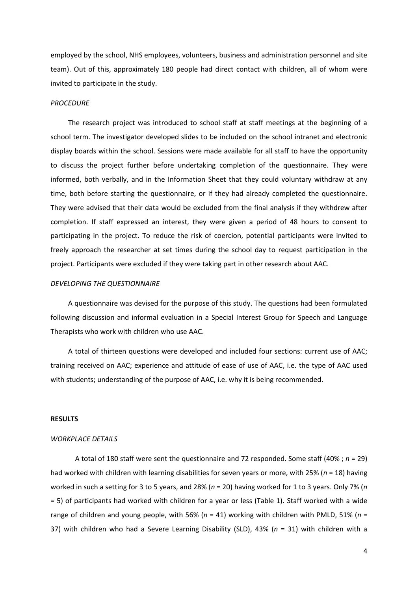employed by the school, NHS employees, volunteers, business and administration personnel and site team). Out of this, approximately 180 people had direct contact with children, all of whom were invited to participate in the study.

#### *PROCEDURE*

 The research project was introduced to school staff at staff meetings at the beginning of a school term. The investigator developed slides to be included on the school intranet and electronic display boards within the school. Sessions were made available for all staff to have the opportunity to discuss the project further before undertaking completion of the questionnaire. They were informed, both verbally, and in the Information Sheet that they could voluntary withdraw at any time, both before starting the questionnaire, or if they had already completed the questionnaire. They were advised that their data would be excluded from the final analysis if they withdrew after completion. If staff expressed an interest, they were given a period of 48 hours to consent to participating in the project. To reduce the risk of coercion, potential participants were invited to freely approach the researcher at set times during the school day to request participation in the project. Participants were excluded if they were taking part in other research about AAC.

#### *DEVELOPING THE QUESTIONNAIRE*

 A questionnaire was devised for the purpose of this study. The questions had been formulated following discussion and informal evaluation in a Special Interest Group for Speech and Language Therapists who work with children who use AAC.

 A total of thirteen questions were developed and included four sections: current use of AAC; training received on AAC; experience and attitude of ease of use of AAC, i.e. the type of AAC used with students; understanding of the purpose of AAC, i.e. why it is being recommended.

#### **RESULTS**

#### *WORKPLACE DETAILS*

 A total of 180 staff were sent the questionnaire and 72 responded. Some staff (40% ; *n* = 29) had worked with children with learning disabilities for seven years or more, with 25% (*n* = 18) having worked in such a setting for 3 to 5 years, and 28% (*n* = 20) having worked for 1 to 3 years. Only 7% (*n =* 5) of participants had worked with children for a year or less (Table 1). Staff worked with a wide range of children and young people, with 56% (*n* = 41) working with children with PMLD, 51% (*n* = 37) with children who had a Severe Learning Disability (SLD), 43% (*n* = 31) with children with a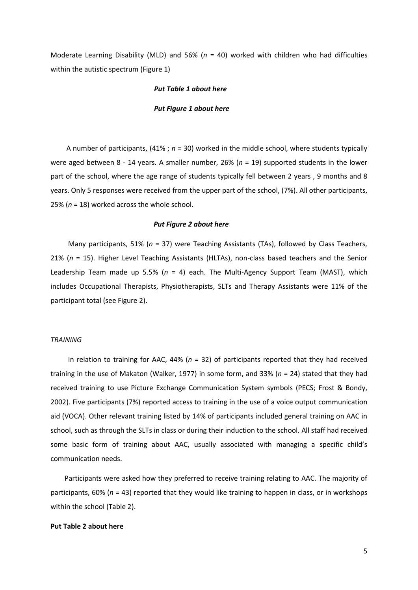Moderate Learning Disability (MLD) and 56% (*n* = 40) worked with children who had difficulties within the autistic spectrum (Figure 1)

#### *Put Table 1 about here*

#### *Put Figure 1 about here*

 A number of participants, (41% ; *n* = 30) worked in the middle school, where students typically were aged between 8 - 14 years. A smaller number, 26% (*n* = 19) supported students in the lower part of the school, where the age range of students typically fell between 2 years , 9 months and 8 years. Only 5 responses were received from the upper part of the school, (7%). All other participants, 25% (*n* = 18) worked across the whole school.

#### *Put Figure 2 about here*

 Many participants, 51% (*n* = 37) were Teaching Assistants (TAs), followed by Class Teachers, 21% (*n* = 15). Higher Level Teaching Assistants (HLTAs), non-class based teachers and the Senior Leadership Team made up 5.5% (*n* = 4) each. The Multi-Agency Support Team (MAST), which includes Occupational Therapists, Physiotherapists, SLTs and Therapy Assistants were 11% of the participant total (see Figure 2).

#### *TRAINING*

 In relation to training for AAC, 44% (*n* = 32) of participants reported that they had received training in the use of Makaton (Walker, 1977) in some form, and 33% (*n* = 24) stated that they had received training to use Picture Exchange Communication System symbols (PECS; Frost & Bondy, 2002). Five participants (7%) reported access to training in the use of a voice output communication aid (VOCA). Other relevant training listed by 14% of participants included general training on AAC in school, such as through the SLTs in class or during their induction to the school. All staff had received some basic form of training about AAC, usually associated with managing a specific child's communication needs.

 Participants were asked how they preferred to receive training relating to AAC. The majority of participants, 60% (*n* = 43) reported that they would like training to happen in class, or in workshops within the school (Table 2).

#### **Put Table 2 about here**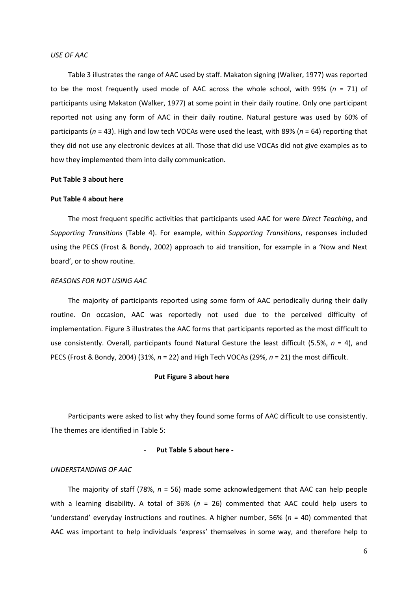#### *USE OF AAC*

 Table 3 illustrates the range of AAC used by staff. Makaton signing (Walker, 1977) was reported to be the most frequently used mode of AAC across the whole school, with 99% (*n* = 71) of participants using Makaton (Walker, 1977) at some point in their daily routine. Only one participant reported not using any form of AAC in their daily routine. Natural gesture was used by 60% of participants (*n* = 43). High and low tech VOCAs were used the least, with 89% (*n* = 64) reporting that they did not use any electronic devices at all. Those that did use VOCAs did not give examples as to how they implemented them into daily communication.

#### **Put Table 3 about here**

#### **Put Table 4 about here**

 The most frequent specific activities that participants used AAC for were *Direct Teaching*, and *Supporting Transitions* (Table 4). For example, within *Supporting Transitions*, responses included using the PECS (Frost & Bondy, 2002) approach to aid transition, for example in a 'Now and Next board', or to show routine.

#### *REASONS FOR NOT USING AAC*

 The majority of participants reported using some form of AAC periodically during their daily routine. On occasion, AAC was reportedly not used due to the perceived difficulty of implementation. Figure 3 illustrates the AAC forms that participants reported as the most difficult to use consistently. Overall, participants found Natural Gesture the least difficult (5.5%, *n* = 4), and PECS (Frost & Bondy, 2004) (31%, *n* = 22) and High Tech VOCAs (29%, *n* = 21) the most difficult.

#### **Put Figure 3 about here**

 Participants were asked to list why they found some forms of AAC difficult to use consistently. The themes are identified in Table 5:

#### - **Put Table 5 about here -**

#### *UNDERSTANDING OF AAC*

 The majority of staff (78%, *n* = 56) made some acknowledgement that AAC can help people with a learning disability. A total of 36% (*n* = 26) commented that AAC could help users to 'understand' everyday instructions and routines. A higher number, 56% (*n* = 40) commented that AAC was important to help individuals 'express' themselves in some way, and therefore help to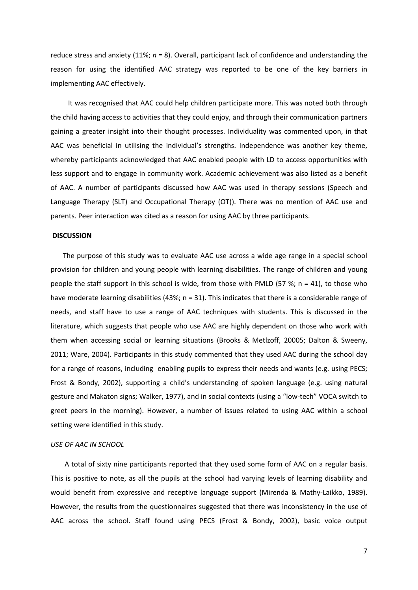reduce stress and anxiety (11%; *n* = 8). Overall, participant lack of confidence and understanding the reason for using the identified AAC strategy was reported to be one of the key barriers in implementing AAC effectively.

 It was recognised that AAC could help children participate more. This was noted both through the child having access to activities that they could enjoy, and through their communication partners gaining a greater insight into their thought processes. Individuality was commented upon, in that AAC was beneficial in utilising the individual's strengths. Independence was another key theme, whereby participants acknowledged that AAC enabled people with LD to access opportunities with less support and to engage in community work. Academic achievement was also listed as a benefit of AAC. A number of participants discussed how AAC was used in therapy sessions (Speech and Language Therapy (SLT) and Occupational Therapy (OT)). There was no mention of AAC use and parents. Peer interaction was cited as a reason for using AAC by three participants.

#### **DISCUSSION**

 The purpose of this study was to evaluate AAC use across a wide age range in a special school provision for children and young people with learning disabilities. The range of children and young people the staff support in this school is wide, from those with PMLD (57 %; n = 41), to those who have moderate learning disabilities (43%; n = 31). This indicates that there is a considerable range of needs, and staff have to use a range of AAC techniques with students. This is discussed in the literature, which suggests that people who use AAC are highly dependent on those who work with them when accessing social or learning situations (Brooks & Metlzoff, 20005; Dalton & Sweeny, 2011; Ware, 2004). Participants in this study commented that they used AAC during the school day for a range of reasons, including enabling pupils to express their needs and wants (e.g. using PECS; Frost & Bondy, 2002), supporting a child's understanding of spoken language (e.g. using natural gesture and Makaton signs; Walker, 1977), and in social contexts (using a "low-tech" VOCA switch to greet peers in the morning). However, a number of issues related to using AAC within a school setting were identified in this study.

#### *USE OF AAC IN SCHOOL*

 A total of sixty nine participants reported that they used some form of AAC on a regular basis. This is positive to note, as all the pupils at the school had varying levels of learning disability and would benefit from expressive and receptive language support (Mirenda & Mathy-Laikko, 1989). However, the results from the questionnaires suggested that there was inconsistency in the use of AAC across the school. Staff found using PECS (Frost & Bondy, 2002), basic voice output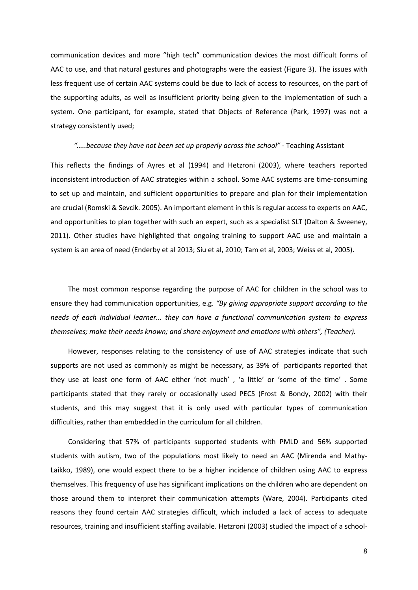communication devices and more "high tech" communication devices the most difficult forms of AAC to use, and that natural gestures and photographs were the easiest (Figure 3). The issues with less frequent use of certain AAC systems could be due to lack of access to resources, on the part of the supporting adults, as well as insufficient priority being given to the implementation of such a system. One participant, for example, stated that Objects of Reference (Park, 1997) was not a strategy consistently used;

#### *"…..because they have not been set up properly across the school"* - Teaching Assistant

This reflects the findings of Ayres et al (1994) and Hetzroni (2003), where teachers reported inconsistent introduction of AAC strategies within a school. Some AAC systems are time-consuming to set up and maintain, and sufficient opportunities to prepare and plan for their implementation are crucial (Romski & Sevcik. 2005). An important element in this is regular access to experts on AAC, and opportunities to plan together with such an expert, such as a specialist SLT (Dalton & Sweeney, 2011). Other studies have highlighted that ongoing training to support AAC use and maintain a system is an area of need (Enderby et al 2013; Siu et al, 2010; Tam et al, 2003; Weiss et al, 2005).

 The most common response regarding the purpose of AAC for children in the school was to ensure they had communication opportunities, e.g. *"By giving appropriate support according to the needs of each individual learner... they can have a functional communication system to express themselves; make their needs known; and share enjoyment and emotions with others", (Teacher).*

 However, responses relating to the consistency of use of AAC strategies indicate that such supports are not used as commonly as might be necessary, as 39% of participants reported that they use at least one form of AAC either 'not much' , 'a little' or 'some of the time' . Some participants stated that they rarely or occasionally used PECS (Frost & Bondy, 2002) with their students, and this may suggest that it is only used with particular types of communication difficulties, rather than embedded in the curriculum for all children.

 Considering that 57% of participants supported students with PMLD and 56% supported students with autism, two of the populations most likely to need an AAC (Mirenda and Mathy-Laikko, 1989), one would expect there to be a higher incidence of children using AAC to express themselves. This frequency of use has significant implications on the children who are dependent on those around them to interpret their communication attempts (Ware, 2004). Participants cited reasons they found certain AAC strategies difficult, which included a lack of access to adequate resources, training and insufficient staffing available. Hetzroni (2003) studied the impact of a school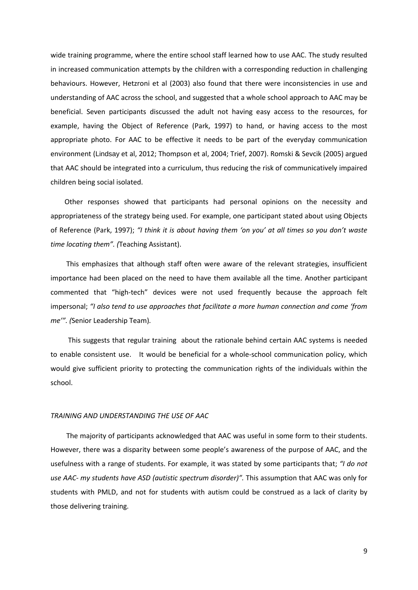wide training programme, where the entire school staff learned how to use AAC. The study resulted in increased communication attempts by the children with a corresponding reduction in challenging behaviours. However, Hetzroni et al (2003) also found that there were inconsistencies in use and understanding of AAC across the school, and suggested that a whole school approach to AAC may be beneficial. Seven participants discussed the adult not having easy access to the resources, for example, having the Object of Reference (Park, 1997) to hand, or having access to the most appropriate photo. For AAC to be effective it needs to be part of the everyday communication environment (Lindsay et al, 2012; Thompson et al, 2004; Trief, 2007). Romski & Sevcik (2005) argued that AAC should be integrated into a curriculum, thus reducing the risk of communicatively impaired children being social isolated.

 Other responses showed that participants had personal opinions on the necessity and appropriateness of the strategy being used. For example, one participant stated about using Objects of Reference (Park, 1997); *"I think it is about having them 'on you' at all times so you don't waste time locating them". (*Teaching Assistant).

 This emphasizes that although staff often were aware of the relevant strategies, insufficient importance had been placed on the need to have them available all the time. Another participant commented that "high-tech" devices were not used frequently because the approach felt impersonal; *"I also tend to use approaches that facilitate a more human connection and come 'from me'". (*Senior Leadership Team)*.* 

 This suggests that regular training about the rationale behind certain AAC systems is needed to enable consistent use. It would be beneficial for a whole-school communication policy, which would give sufficient priority to protecting the communication rights of the individuals within the school.

#### *TRAINING AND UNDERSTANDING THE USE OF AAC*

 The majority of participants acknowledged that AAC was useful in some form to their students. However, there was a disparity between some people's awareness of the purpose of AAC, and the usefulness with a range of students. For example, it was stated by some participants that; *"I do not use AAC- my students have ASD (autistic spectrum disorder)".* This assumption that AAC was only for students with PMLD, and not for students with autism could be construed as a lack of clarity by those delivering training.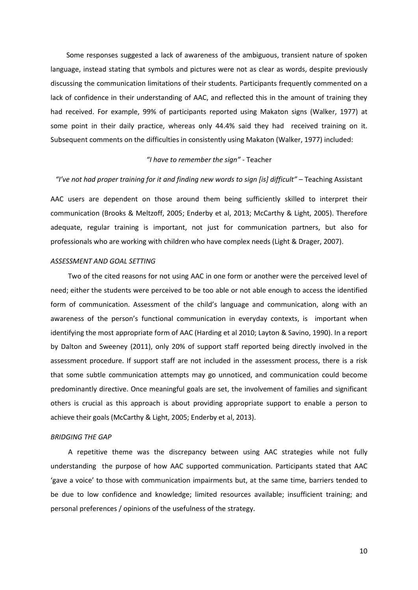Some responses suggested a lack of awareness of the ambiguous, transient nature of spoken language, instead stating that symbols and pictures were not as clear as words, despite previously discussing the communication limitations of their students. Participants frequently commented on a lack of confidence in their understanding of AAC, and reflected this in the amount of training they had received. For example, 99% of participants reported using Makaton signs (Walker, 1977) at some point in their daily practice, whereas only 44.4% said they had received training on it. Subsequent comments on the difficulties in consistently using Makaton (Walker, 1977) included:

#### *"I have to remember the sign"* - Teacher

#### *"I've not had proper training for it and finding new words to sign [is] difficult"* – Teaching Assistant

AAC users are dependent on those around them being sufficiently skilled to interpret their communication (Brooks & Meltzoff, 2005; Enderby et al, 2013; McCarthy & Light, 2005). Therefore adequate, regular training is important, not just for communication partners, but also for professionals who are working with children who have complex needs (Light & Drager, 2007).

#### *ASSESSMENT AND GOAL SETTING*

 Two of the cited reasons for not using AAC in one form or another were the perceived level of need; either the students were perceived to be too able or not able enough to access the identified form of communication. Assessment of the child's language and communication, along with an awareness of the person's functional communication in everyday contexts, is important when identifying the most appropriate form of AAC (Harding et al 2010; Layton & Savino, 1990). In a report by Dalton and Sweeney (2011), only 20% of support staff reported being directly involved in the assessment procedure. If support staff are not included in the assessment process, there is a risk that some subtle communication attempts may go unnoticed, and communication could become predominantly directive. Once meaningful goals are set, the involvement of families and significant others is crucial as this approach is about providing appropriate support to enable a person to achieve their goals (McCarthy & Light, 2005; Enderby et al, 2013).

#### *BRIDGING THE GAP*

 A repetitive theme was the discrepancy between using AAC strategies while not fully understanding the purpose of how AAC supported communication. Participants stated that AAC 'gave a voice' to those with communication impairments but, at the same time, barriers tended to be due to low confidence and knowledge; limited resources available; insufficient training; and personal preferences / opinions of the usefulness of the strategy.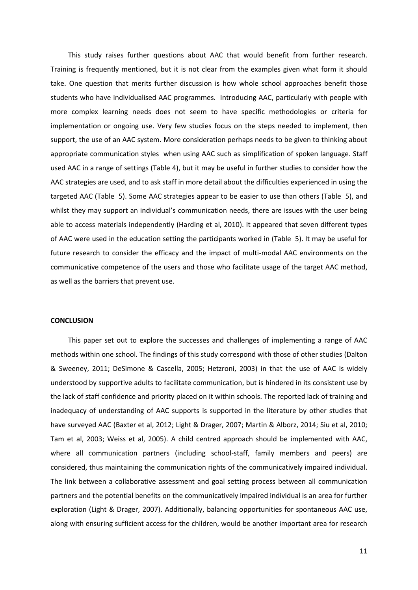This study raises further questions about AAC that would benefit from further research. Training is frequently mentioned, but it is not clear from the examples given what form it should take. One question that merits further discussion is how whole school approaches benefit those students who have individualised AAC programmes. Introducing AAC, particularly with people with more complex learning needs does not seem to have specific methodologies or criteria for implementation or ongoing use. Very few studies focus on the steps needed to implement, then support, the use of an AAC system. More consideration perhaps needs to be given to thinking about appropriate communication styles when using AAC such as simplification of spoken language. Staff used AAC in a range of settings (Table 4), but it may be useful in further studies to consider how the AAC strategies are used, and to ask staff in more detail about the difficulties experienced in using the targeted AAC (Table 5). Some AAC strategies appear to be easier to use than others (Table 5), and whilst they may support an individual's communication needs, there are issues with the user being able to access materials independently (Harding et al, 2010). It appeared that seven different types of AAC were used in the education setting the participants worked in (Table 5). It may be useful for future research to consider the efficacy and the impact of multi-modal AAC environments on the communicative competence of the users and those who facilitate usage of the target AAC method, as well as the barriers that prevent use.

#### **CONCLUSION**

 This paper set out to explore the successes and challenges of implementing a range of AAC methods within one school. The findings of this study correspond with those of other studies (Dalton & Sweeney, 2011; DeSimone & Cascella, 2005; Hetzroni, 2003) in that the use of AAC is widely understood by supportive adults to facilitate communication, but is hindered in its consistent use by the lack of staff confidence and priority placed on it within schools. The reported lack of training and inadequacy of understanding of AAC supports is supported in the literature by other studies that have surveyed AAC (Baxter et al, 2012; Light & Drager, 2007; Martin & Alborz, 2014; Siu et al, 2010; Tam et al, 2003; Weiss et al, 2005). A child centred approach should be implemented with AAC, where all communication partners (including school-staff, family members and peers) are considered, thus maintaining the communication rights of the communicatively impaired individual. The link between a collaborative assessment and goal setting process between all communication partners and the potential benefits on the communicatively impaired individual is an area for further exploration (Light & Drager, 2007). Additionally, balancing opportunities for spontaneous AAC use, along with ensuring sufficient access for the children, would be another important area for research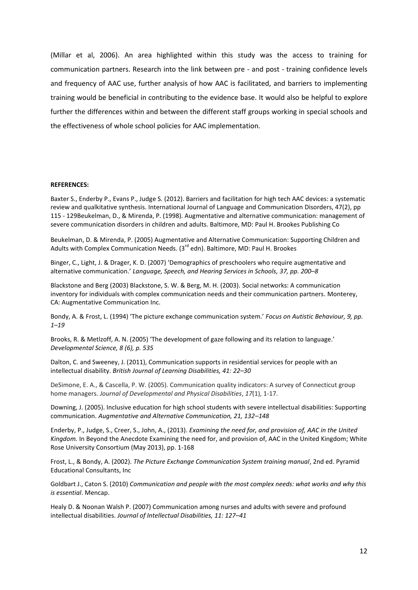(Millar et al, 2006). An area highlighted within this study was the access to training for communication partners. Research into the link between pre - and post - training confidence levels and frequency of AAC use, further analysis of how AAC is facilitated, and barriers to implementing training would be beneficial in contributing to the evidence base. It would also be helpful to explore further the differences within and between the different staff groups working in special schools and the effectiveness of whole school policies for AAC implementation.

#### **REFERENCES:**

Baxter S., Enderby P., Evans P., Judge S. (2012). Barriers and facilitation for high tech AAC devices: a systematic review and qualkitative synthesis. International Journal of Language and Communication Disorders, 47(2), pp 115 - 129Beukelman, D., & Mirenda, P. (1998). Augmentative and alternative communication: management of severe communication disorders in children and adults. Baltimore, MD: Paul H. Brookes Publishing Co

Beukelman, D. & Mirenda, P. (2005) Augmentative and Alternative Communication: Supporting Children and Adults with Complex Communication Needs.  $3^{rd}$  edn). Baltimore, MD: Paul H. Brookes

Binger, C., Light, J. & Drager, K. D. (2007) 'Demographics of preschoolers who require augmentative and alternative communication.' *Language, Speech, and Hearing Services in Schools, 37, pp. 200–8*

Blackstone and Berg (2003) Blackstone, S. W. & Berg, M. H. (2003). Social networks: A communication inventory for individuals with complex communication needs and their communication partners. Monterey, CA: Augmentative Communication Inc.

Bondy, A. & Frost, L. (1994) 'The picture exchange communication system.' *Focus on Autistic Behaviour, 9, pp. 1–19*

Brooks, R. & Metlzoff, A. N. (2005) 'The development of gaze following and its relation to language.' *Developmental Science, 8 (6), p. 535*

Dalton, C. and Sweeney, J. (2011), Communication supports in residential services for people with an intellectual disability. *British Journal of Learning Disabilities, 41: 22–30*

DeSimone, E. A., & Cascella, P. W. (2005). Communication quality indicators: A survey of Connecticut group home managers. *Journal of Developmental and Physical Disabilities*, *17*(1), 1-17.

Downing, J. (2005). Inclusive education for high school students with severe intellectual disabilities: Supporting communication. *Augmentative and Alternative Communication, 21, 132–148*

Enderby, P., Judge, S., Creer, S., John, A., (2013). *Examining the need for, and provision of, AAC in the United Kingdom.* In Beyond the Anecdote Examining the need for, and provision of, AAC in the United Kingdom; White Rose University Consortium (May 2013), pp. 1-168

Frost, L., & Bondy, A. (2002). *The Picture Exchange Communication System training manual*, 2nd ed. Pyramid Educational Consultants, Inc

Goldbart J., Caton S. (2010) *Communication and people with the most complex needs: what works and why this is essential*. Mencap.

Healy D. & Noonan Walsh P. (2007) Communication among nurses and adults with severe and profound intellectual disabilities. *Journal of Intellectual Disabilities, 11: 127–41*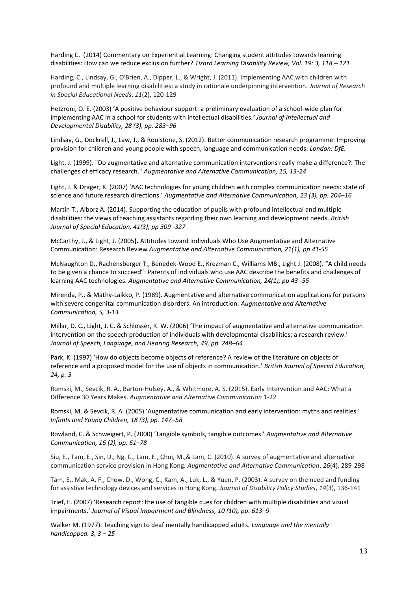Harding C. (2014) Commentary on Experiential Learning: Changing student attitudes towards learning disabilities: How can we reduce exclusion further? *Tizard Learning Disability Review, Vol. 19: 3, 118 – 121*

Harding, C., Lindsay, G., O'Brien, A., Dipper, L., & Wright, J. (2011). Implementing AAC with children with profound and multiple learning disabilities: a study in rationale underpinning intervention. *Journal of Research in Special Educational Needs*, *11*(2), 120-129

Hetzroni, O. E. (2003) 'A positive behaviour support: a preliminary evaluation of a school-wide plan for implementing AAC in a school for students with intellectual disabilities.*' Journal of Intellectual and Developmental Disability, 28 (3), pp. 283–96*

Lindsay, G., Dockrell, J., Law, J., & Roulstone, S. (2012). Better communication research programme: Improving provision for children and young people with speech, language and communication needs. *London: DfE.*

Light, J. (1999). "Do augmentative and alternative communication interventions really make a difference?: The challenges of efficacy research." *Augmentative and Alternative Communication, 15, 13-24*

Light, J. & Drager, K. (2007) 'AAC technologies for young children with complex communication needs: state of science and future research directions.' *Augmentative and Alternative Communication, 23 (3), pp. 204–16*

Martin T., Alborz A. (2014). Supporting the education of pupils with profound intellectual and multiple disabilities: the views of teaching assistants regarding their own learning and development needs. *British Journal of Special Education, 41(3), pp 309 -327*

McCarthy, J., & Light, J. (2005**).** Attitudes toward Individuals Who Use Augmentative and Alternative Communication: Research Review *Augmentative and Alternative Communication, 21(1), pp 41-55*

McNaughton D., Rachensberger T., Benedek-Wood E., Krezman C., Williams MB., Light J. (2008). "A child needs to be given a chance to succeed": Parents of individuals who use AAC describe the benefits and challenges of learning AAC technologies. *Augmentative and Alternative Communication, 24(1), pp 43 -55*

Mirenda, P., & Mathy-Laikko, P. (1989). Augmentative and alternative communication applications for persons with severe congenital communication disorders: An introduction*. Augmentative and Alternative Communication, 5, 3-13* 

Millar, D. C., Light, J. C. & Schlosser, R. W. (2006) 'The impact of augmentative and alternative communication intervention on the speech production of individuals with developmental disabilities: a research review.' *Journal of Speech, Language, and Hearing Research, 49, pp. 248–64*

Park, K. (1997) 'How do objects become objects of reference? A review of the literature on objects of reference and a proposed model for the use of objects in communication.' *British Journal of Special Education, 24, p. 3*

Romski, M., Sevcik, R. A., Barton-Hulsey, A., & Whitmore, A. S. (2015). Early Intervention and AAC: What a Difference 30 Years Makes. *Augmentative and Alternative Communication* 1-22

Romski, M. & Sevcik, R. A. (2005) 'Augmentative communication and early intervention: myths and realities.' *Infants and Young Children, 18 (3), pp. 147–58*

Rowland, C. & Schweigert, P. (2000) 'Tangible symbols, tangible outcomes.' *Augmentative and Alternative Communication, 16 (2), pp. 61–78*

Siu, E., Tam, E., Sin, D., Ng, C., Lam, E., Chui, M.,& Lam, C. (2010). A survey of augmentative and alternative communication service provision in Hong Kong. *Augmentative and Alternative Communication*, *26*(4), 289-298

Tam, E., Mak, A. F., Chow, D., Wong, C., Kam, A., Luk, L., & Yuen, P. (2003). A survey on the need and funding for assistive technology devices and services in Hong Kong. *Journal of Disability Policy Studies*, *14*(3), 136-141

Trief, E. (2007) 'Research report: the use of tangible cues for children with multiple disabilities and visual impairments.' *Journal of Visual Impairment and Blindness, 10 (10), pp. 613–9*

Walker M. (1977). Teaching sign to deaf mentally handicapped adults. *Language and the mentally handicapped. 3, 3 – 25*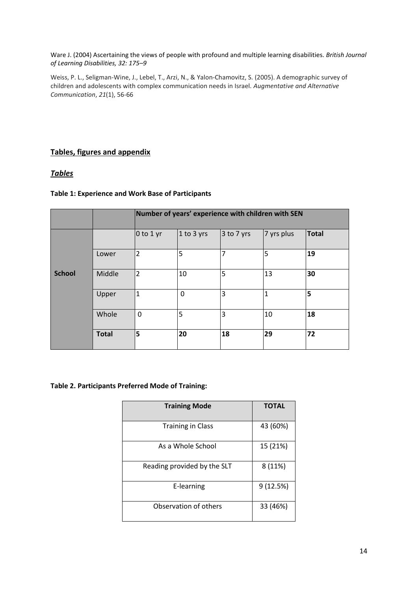Ware J. (2004) Ascertaining the views of people with profound and multiple learning disabilities. *British Journal of Learning Disabilities, 32: 175–9* 

Weiss, P. L., Seligman-Wine, J., Lebel, T., Arzi, N., & Yalon-Chamovitz, S. (2005). A demographic survey of children and adolescents with complex communication needs in Israel. *Augmentative and Alternative Communication*, *21*(1), 56-66

## **Tables, figures and appendix**

## *Tables*

### **Table 1: Experience and Work Base of Participants**

|               |              | Number of years' experience with children with SEN |             |                |                |              |  |  |
|---------------|--------------|----------------------------------------------------|-------------|----------------|----------------|--------------|--|--|
|               |              | $0$ to 1 yr                                        | 1 to 3 yrs  | $3$ to 7 yrs   | 7 yrs plus     | <b>Total</b> |  |  |
| <b>School</b> | Lower        | $\overline{2}$                                     | 5           | $\overline{7}$ | 5              | 19           |  |  |
|               | Middle       | $\overline{2}$                                     | 10          | 5              | 13             | 30           |  |  |
|               | Upper        | $\overline{1}$                                     | $\mathbf 0$ | 3              | $\overline{1}$ | 5            |  |  |
|               | Whole        | 0                                                  | 5           | $\overline{3}$ | 10             | 18           |  |  |
|               | <b>Total</b> | 5                                                  | 20          | 18             | 29             | 72           |  |  |

### **Table 2. Participants Preferred Mode of Training:**

| <b>Training Mode</b>        | <b>TOTAL</b> |  |  |
|-----------------------------|--------------|--|--|
| <b>Training in Class</b>    | 43 (60%)     |  |  |
| As a Whole School           | 15 (21%)     |  |  |
| Reading provided by the SLT | 8 (11%)      |  |  |
| E-learning                  | 9(12.5%)     |  |  |
| Observation of others       | 33 (46%)     |  |  |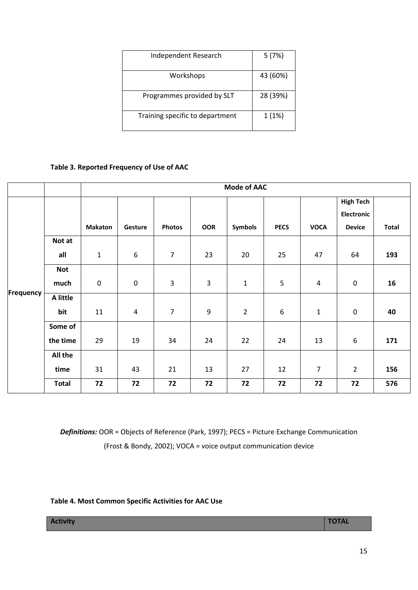| Independent Research            | 5(7%)    |
|---------------------------------|----------|
| Workshops                       | 43 (60%) |
| Programmes provided by SLT      | 28 (39%) |
| Training specific to department | 1(1%)    |

## **Table 3. Reported Frequency of Use of AAC**

|           |              | <b>Mode of AAC</b> |                  |                |                |                |             |                |                   |              |
|-----------|--------------|--------------------|------------------|----------------|----------------|----------------|-------------|----------------|-------------------|--------------|
|           |              |                    |                  |                |                |                |             |                | <b>High Tech</b>  |              |
|           |              |                    |                  |                |                |                |             |                | <b>Electronic</b> |              |
|           |              | <b>Makaton</b>     | Gesture          | <b>Photos</b>  | <b>OOR</b>     | Symbols        | <b>PECS</b> | <b>VOCA</b>    | <b>Device</b>     | <b>Total</b> |
|           | Not at       |                    |                  |                |                |                |             |                |                   |              |
| Frequency | all          | $\mathbf{1}$       | $\boldsymbol{6}$ | $\overline{7}$ | 23             | 20             | 25          | 47             | 64                | 193          |
|           | <b>Not</b>   |                    |                  |                |                |                |             |                |                   |              |
|           | much         | $\mathbf 0$        | $\boldsymbol{0}$ | 3              | $\overline{3}$ | $\mathbf 1$    | 5           | $\overline{4}$ | $\pmb{0}$         | 16           |
|           | A little     |                    |                  |                |                |                |             |                |                   |              |
|           | bit          | 11                 | $\overline{4}$   | $\overline{7}$ | 9              | $\overline{2}$ | $6\,$       | $\mathbf 1$    | $\pmb{0}$         | 40           |
|           | Some of      |                    |                  |                |                |                |             |                |                   |              |
|           | the time     | 29                 | 19               | 34             | 24             | 22             | 24          | 13             | $\boldsymbol{6}$  | 171          |
|           | All the      |                    |                  |                |                |                |             |                |                   |              |
|           | time         | 31                 | 43               | 21             | 13             | 27             | 12          | $\overline{7}$ | $\overline{2}$    | 156          |
|           | <b>Total</b> | 72                 | 72               | 72             | 72             | 72             | 72          | 72             | 72                | 576          |

*Definitions:* OOR = Objects of Reference (Park, 1997); PECS = Picture Exchange Communication (Frost & Bondy, 2002); VOCA = voice output communication device

**Table 4. Most Common Specific Activities for AAC Use**

**Activity TOTAL**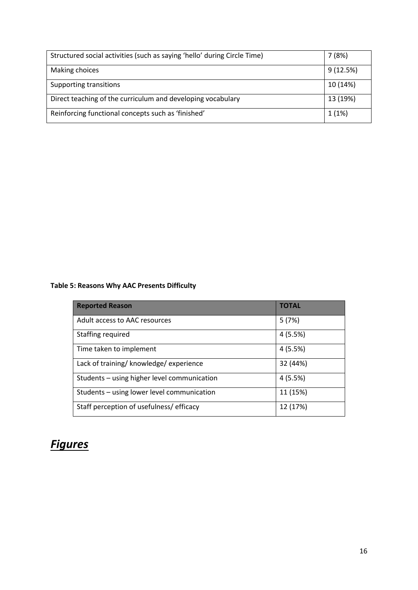| Structured social activities (such as saying 'hello' during Circle Time) | 7(8%)    |
|--------------------------------------------------------------------------|----------|
| Making choices                                                           | 9(12.5%) |
| Supporting transitions                                                   | 10 (14%) |
| Direct teaching of the curriculum and developing vocabulary              | 13 (19%) |
| Reinforcing functional concepts such as 'finished'                       | 1(1%)    |

## **Table 5: Reasons Why AAC Presents Difficulty**

| <b>Reported Reason</b>                      | <b>TOTAL</b> |
|---------------------------------------------|--------------|
| Adult access to AAC resources               | 5(7%)        |
| Staffing required                           | 4 (5.5%)     |
| Time taken to implement                     | 4 (5.5%)     |
| Lack of training/ knowledge/ experience     | 32 (44%)     |
| Students - using higher level communication | 4(5.5%)      |
| Students - using lower level communication  | 11 (15%)     |
| Staff perception of usefulness/efficacy     | 12 (17%)     |

## *Figures*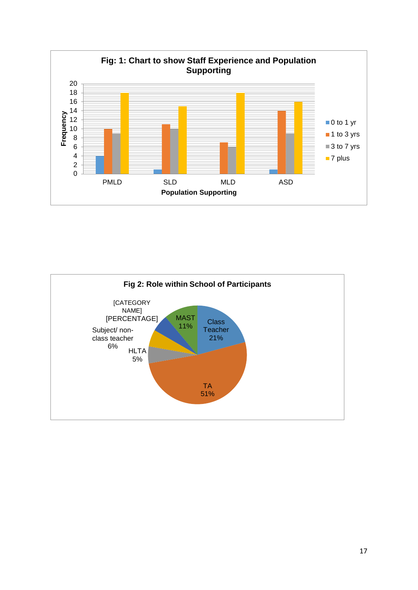